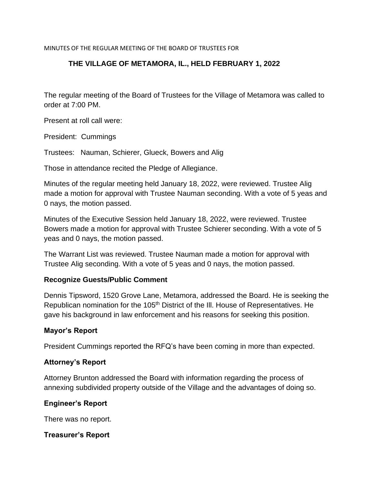MINUTES OF THE REGULAR MEETING OF THE BOARD OF TRUSTEES FOR

# **THE VILLAGE OF METAMORA, IL., HELD FEBRUARY 1, 2022**

The regular meeting of the Board of Trustees for the Village of Metamora was called to order at 7:00 PM.

Present at roll call were:

President: Cummings

Trustees: Nauman, Schierer, Glueck, Bowers and Alig

Those in attendance recited the Pledge of Allegiance.

Minutes of the regular meeting held January 18, 2022, were reviewed. Trustee Alig made a motion for approval with Trustee Nauman seconding. With a vote of 5 yeas and 0 nays, the motion passed.

Minutes of the Executive Session held January 18, 2022, were reviewed. Trustee Bowers made a motion for approval with Trustee Schierer seconding. With a vote of 5 yeas and 0 nays, the motion passed.

The Warrant List was reviewed. Trustee Nauman made a motion for approval with Trustee Alig seconding. With a vote of 5 yeas and 0 nays, the motion passed.

#### **Recognize Guests/Public Comment**

Dennis Tipsword, 1520 Grove Lane, Metamora, addressed the Board. He is seeking the Republican nomination for the 105<sup>th</sup> District of the III. House of Representatives. He gave his background in law enforcement and his reasons for seeking this position.

#### **Mayor's Report**

President Cummings reported the RFQ's have been coming in more than expected.

#### **Attorney's Report**

Attorney Brunton addressed the Board with information regarding the process of annexing subdivided property outside of the Village and the advantages of doing so.

#### **Engineer's Report**

There was no report.

### **Treasurer's Report**